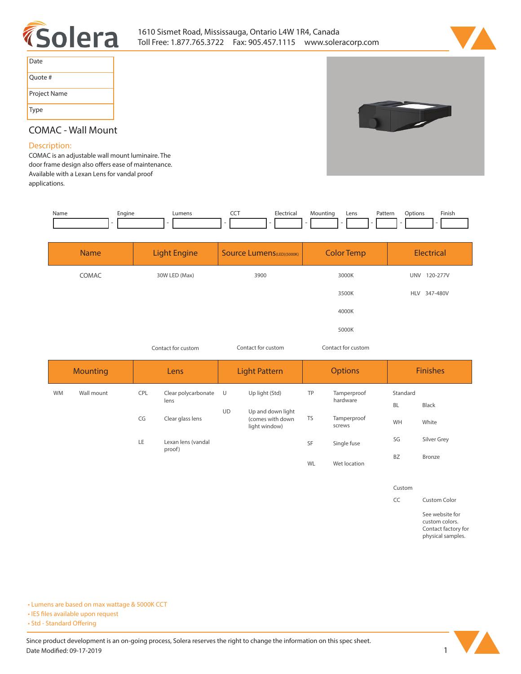



| Date         |
|--------------|
| Quote #      |
| Project Name |
| Type         |



# **COMAC - Wall Mount**

### **Description:**

**COMAC is an adjustable wall mount luminaire. The**  door frame design also offers ease of maintenance. **Available with a Lexan Lens for vandal proof applications.** 

| Name | Engine | Lumens | ---<br>$\tilde{}$<br>. . | Electrical<br>. | Mountinc | Lens | Pattern<br>. | )ptions |                          | Finish |
|------|--------|--------|--------------------------|-----------------|----------|------|--------------|---------|--------------------------|--------|
|      |        |        |                          |                 |          |      |              |         | $\overline{\phantom{a}}$ |        |
|      |        |        |                          |                 |          |      |              |         |                          |        |

| <b>Name</b> | <b>Light Engine</b> | <b>Source Lumens</b> (LED)(5000K) | <b>Color Temp</b> | Electrical             |
|-------------|---------------------|-----------------------------------|-------------------|------------------------|
| COMAC       | 30W LED (Max)       | 3900                              | 3000K             | 120-277V<br><b>UNV</b> |
|             |                     |                                   | 3500K             | 347-480V<br><b>HLV</b> |
|             |                     |                                   | 4000K             |                        |
|             |                     |                                   | 5000K             |                        |
|             |                     |                                   |                   |                        |

*Contact for custom Contact for custom*

*Contact for custom*

|           | <b>Mounting</b> |            | Lens                         |                     | <b>Light Pattern</b>                                   |           | <b>Options</b>        | <b>Finishes</b> |             |  |  |
|-----------|-----------------|------------|------------------------------|---------------------|--------------------------------------------------------|-----------|-----------------------|-----------------|-------------|--|--|
| <b>WM</b> | Wall mount      | <b>CPL</b> | Clear polycarbonate<br>lens  | Up light (Std)<br>U |                                                        | TP        | Tamperproof           | Standard        |             |  |  |
|           |                 |            |                              | <b>UD</b>           |                                                        |           | hardware              | <b>BL</b>       | Black       |  |  |
|           |                 | CG         | Clear glass lens             |                     | Up and down light<br>(comes with down<br>light window) | <b>TS</b> | Tamperproof<br>screws | WH              | White       |  |  |
|           |                 | LE         | Lexan lens (vandal<br>proof) |                     |                                                        | SF        | Single fuse           | SG              | Silver Grey |  |  |
|           |                 |            |                              |                     |                                                        | WL        | Wet location          | <b>BZ</b>       | Bronze      |  |  |

**Custom**

**CC Custom Color**

**See website for custom colors. Contact factory for physical samples.** 

**• Lumens are based on max wattage & 5000K CCT**

**• IES files available upon request** 

• Std - Standard Offering

Since product development is an on-going process, Solera reserves the right to change the information on this spec sheet. **Date Modified: 09-17-2019** 1